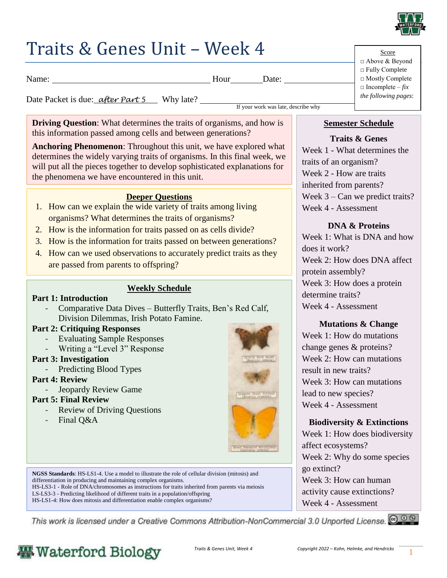

### Traits & Genes Unit – Week 4

Name: Name: Name: Name: Name: New York: Name: Name: Name: Name: Name: Name: Name: Name: Name: Name: Name: Name: Name: Name: Name: Name: Name: Name: Name: Name: Name: Name: Name: Name: Name: Name: Name: Name: Name: Name: Na

Date Packet is due: *<u>after Part 5*</u> Why late?

If your work was late, describe why

**Driving Question:** What determines the traits of organisms, and how is this information passed among cells and between generations?

**Anchoring Phenomenon**: Throughout this unit, we have explored what determines the widely varying traits of organisms. In this final week, we will put all the pieces together to develop sophisticated explanations for the phenomena we have encountered in this unit.

### **Deeper Questions**

- 1. How can we explain the wide variety of traits among living organisms? What determines the traits of organisms?
- 2. How is the information for traits passed on as cells divide?
- 3. How is the information for traits passed on between generations?
- 4. How can we used observations to accurately predict traits as they are passed from parents to offspring?

### **Weekly Schedule**

#### **Part 1: Introduction**

- Comparative Data Dives – Butterfly Traits, Ben's Red Calf, Division Dilemmas, Irish Potato Famine.

### **Part 2: Critiquing Responses**

- Evaluating Sample Responses
- Writing a "Level 3" Response
- **Part 3: Investigation**
	- Predicting Blood Types

### **Part 4: Review**

- Jeopardy Review Game

### **Part 5: Final Review**

- Review of Driving Questions
- Final Q&A



**NGSS Standards**: HS-LS1-4. Use a model to illustrate the role of cellular division (mitosis) and differentiation in producing and maintaining complex organisms.

HS-LS3-1 - Role of DNA/chromosomes as instructions for traits inherited from parents via meiosis

LS-LS3-3 - Predicting likelihood of different traits in a population/offspring HS-LS1-4: How does mitosis and differentiation enable complex organisms?

This work is licensed under a Creative Commons Attribution-NonCommercial 3.0 Unported License. @ 0 0



### **Semester Schedule**

### **Traits & Genes**

Week 1 - What determines the traits of an organism? Week 2 - How are traits inherited from parents? Week 3 – Can we predict traits? Week 4 - Assessment

### **DNA & Proteins**

Week 1: What is DNA and how does it work? Week 2: How does DNA affect protein assembly? Week 3: How does a protein determine traits? Week 4 - Assessment

### **Mutations & Change**

Week 1: How do mutations change genes & proteins? Week 2: How can mutations result in new traits? Week 3: How can mutations lead to new species? Week 4 - Assessment

#### **Biodiversity & Extinctions** Week 1: How does biodiversity

affect ecosystems? Week 2: Why do some species go extinct? Week 3: How can human activity cause extinctions? Week 4 - Assessment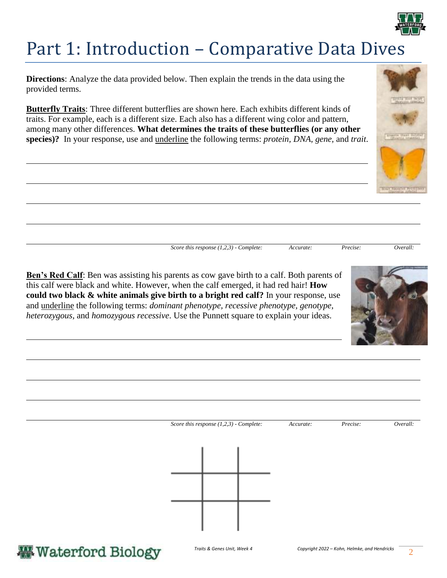

## Part 1: Introduction – Comparative Data Dives

**Directions**: Analyze the data provided below. Then explain the trends in the data using the provided terms.

**Butterfly Traits**: Three different butterflies are shown here. Each exhibits different kinds of traits. For example, each is a different size. Each also has a different wing color and pattern, among many other differences. **What determines the traits of these butterflies (or any other species)?** In your response, use and underline the following terms: *protein, DNA, gene,* and *trait*.



**Ben's Red Calf**: Ben was assisting his parents as cow gave birth to a calf. Both parents of this calf were black and white. However, when the calf emerged, it had red hair! **How could two black & white animals give birth to a bright red calf?** In your response, use and underline the following terms: *dominant phenotype, recessive phenotype, genotype, heterozygous,* and *homozygous recessive*. Use the Punnett square to explain your ideas.



| Score this response $(1,2,3)$ - Complete: |  |  | Accurate: | Precise: | Overall: |
|-------------------------------------------|--|--|-----------|----------|----------|
|                                           |  |  |           |          |          |
|                                           |  |  |           |          |          |
|                                           |  |  |           |          |          |
|                                           |  |  |           |          |          |
|                                           |  |  |           |          |          |
|                                           |  |  |           |          |          |

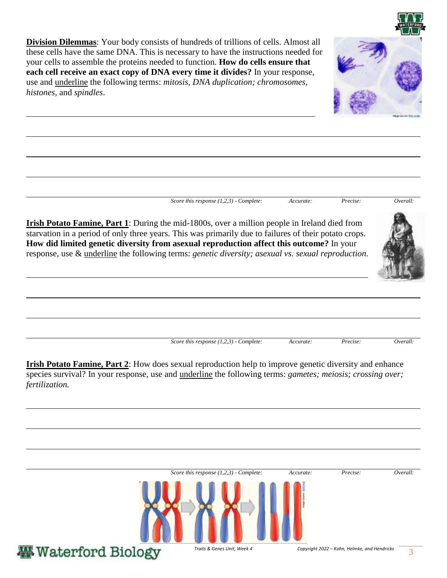**Division Dilemmas**: Your body consists of hundreds of trillions of cells. Almost all these cells have the same DNA. This is necessary to have the instructions needed for your cells to assemble the proteins needed to function. **How do cells ensure that each cell receive an exact copy of DNA every time it divides?** In your response, use and underline the following terms: *mitosis, DNA duplication; chromosomes, histones,* and *spindles*.



*Score this response (1,2,3) - Complete: Accurate: Precise: Overall:* 

**Irish Potato Famine, Part 1**: During the mid-1800s, over a million people in Ireland died from starvation in a period of only three years. This was primarily due to failures of their potato crops. **How did limited genetic diversity from asexual reproduction affect this outcome?** In your response, use & underline the following terms: *genetic diversity; asexual vs. sexual reproduction.*

*Score this response (1,2,3) - Complete: Accurate: Precise: Overall:* 

**Irish Potato Famine, Part 2**: How does sexual reproduction help to improve genetic diversity and enhance species survival? In your response, use and underline the following terms: *gametes; meiosis; crossing over; fertilization.*

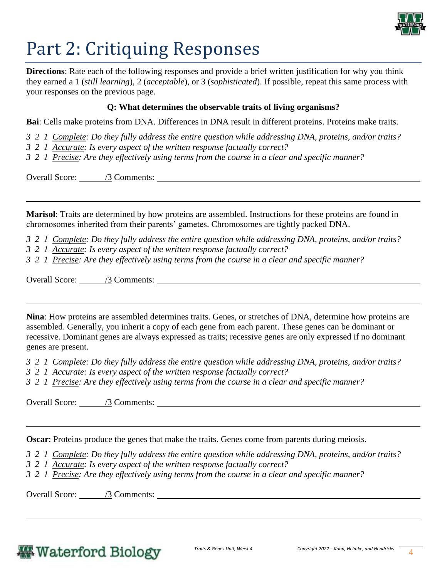

# Part 2: Critiquing Responses

**Directions**: Rate each of the following responses and provide a brief written justification for why you think they earned a 1 (*still learning*), 2 (*acceptable*), or 3 (*sophisticated*). If possible, repeat this same process with your responses on the previous page.

#### **Q: What determines the observable traits of living organisms?**

**Bai**: Cells make proteins from DNA. Differences in DNA result in different proteins. Proteins make traits.

- *3 2 1 Complete: Do they fully address the entire question while addressing DNA, proteins, and/or traits?*
- *3 2 1 Accurate: Is every aspect of the written response factually correct?*
- *3 2 1 Precise: Are they effectively using terms from the course in a clear and specific manner?*

Overall Score: /3 Comments:

**Marisol**: Traits are determined by how proteins are assembled. Instructions for these proteins are found in chromosomes inherited from their parents' gametes. Chromosomes are tightly packed DNA.

*3 2 1 Complete: Do they fully address the entire question while addressing DNA, proteins, and/or traits?* 

- *3 2 1 Accurate: Is every aspect of the written response factually correct?*
- *3 2 1 Precise: Are they effectively using terms from the course in a clear and specific manner?*

Overall Score: /3 Comments:

**Nina**: How proteins are assembled determines traits. Genes, or stretches of DNA, determine how proteins are assembled. Generally, you inherit a copy of each gene from each parent. These genes can be dominant or recessive. Dominant genes are always expressed as traits; recessive genes are only expressed if no dominant genes are present.

- *3 2 1 Complete: Do they fully address the entire question while addressing DNA, proteins, and/or traits?*
- *3 2 1 Accurate: Is every aspect of the written response factually correct?*
- *3 2 1 Precise: Are they effectively using terms from the course in a clear and specific manner?*

Overall Score: /3 Comments:

**Oscar:** Proteins produce the genes that make the traits. Genes come from parents during meiosis.

*3 2 1 Complete: Do they fully address the entire question while addressing DNA, proteins, and/or traits?* 

- *3 2 1 Accurate: Is every aspect of the written response factually correct?*
- *3 2 1 Precise: Are they effectively using terms from the course in a clear and specific manner?*

Overall Score: /3 Comments:

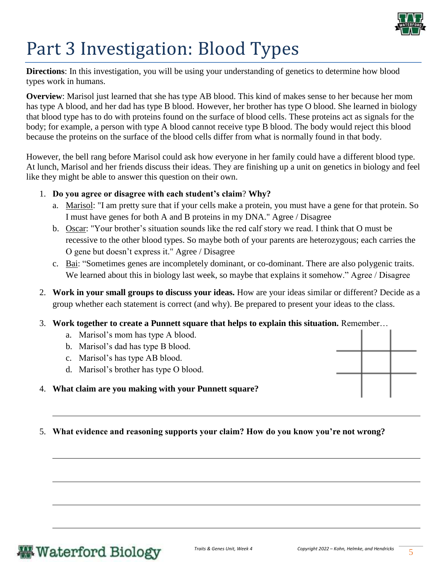

# Part 3 Investigation: Blood Types

**Directions**: In this investigation, you will be using your understanding of genetics to determine how blood types work in humans.

**Overview**: Marisol just learned that she has type AB blood. This kind of makes sense to her because her mom has type A blood, and her dad has type B blood. However, her brother has type O blood. She learned in biology that blood type has to do with proteins found on the surface of blood cells. These proteins act as signals for the body; for example, a person with type A blood cannot receive type B blood. The body would reject this blood because the proteins on the surface of the blood cells differ from what is normally found in that body.

However, the bell rang before Marisol could ask how everyone in her family could have a different blood type. At lunch, Marisol and her friends discuss their ideas. They are finishing up a unit on genetics in biology and feel like they might be able to answer this question on their own.

#### 1. **Do you agree or disagree with each student's claim**? **Why?**

- a. Marisol: "I am pretty sure that if your cells make a protein, you must have a gene for that protein. So I must have genes for both A and B proteins in my DNA." Agree / Disagree
- b. Oscar: "Your brother's situation sounds like the red calf story we read. I think that O must be recessive to the other blood types. So maybe both of your parents are heterozygous; each carries the O gene but doesn't express it." Agree / Disagree
- c. Bai: "Sometimes genes are incompletely dominant, or co-dominant. There are also polygenic traits. We learned about this in biology last week, so maybe that explains it somehow." Agree / Disagree
- 2. **Work in your small groups to discuss your ideas.** How are your ideas similar or different? Decide as a group whether each statement is correct (and why). Be prepared to present your ideas to the class.
- 3. **Work together to create a Punnett square that helps to explain this situation.** Remember…
	- a. Marisol's mom has type A blood.
	- b. Marisol's dad has type B blood.
	- c. Marisol's has type AB blood.
	- d. Marisol's brother has type O blood.

#### 4. **What claim are you making with your Punnett square?**

5. **What evidence and reasoning supports your claim? How do you know you're not wrong?**